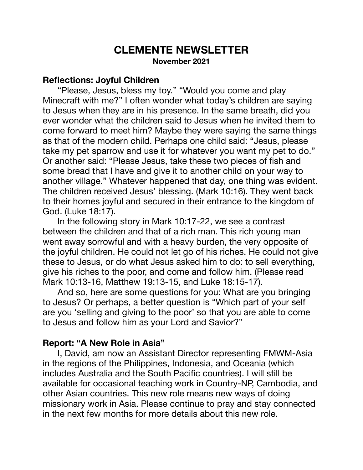# **CLEMENTE NEWSLETTER November 2021**

#### **Reflections: Joyful Children**

 "Please, Jesus, bless my toy." "Would you come and play Minecraft with me?" I often wonder what today's children are saying to Jesus when they are in his presence. In the same breath, did you ever wonder what the children said to Jesus when he invited them to come forward to meet him? Maybe they were saying the same things as that of the modern child. Perhaps one child said: "Jesus, please take my pet sparrow and use it for whatever you want my pet to do." Or another said: "Please Jesus, take these two pieces of fish and some bread that I have and give it to another child on your way to another village." Whatever happened that day, one thing was evident. The children received Jesus' blessing. (Mark 10:16). They went back to their homes joyful and secured in their entrance to the kingdom of God. (Luke 18:17).

 In the following story in Mark 10:17-22, we see a contrast between the children and that of a rich man. This rich young man went away sorrowful and with a heavy burden, the very opposite of the joyful children. He could not let go of his riches. He could not give these to Jesus, or do what Jesus asked him to do: to sell everything, give his riches to the poor, and come and follow him. (Please read Mark 10:13-16, Matthew 19:13-15, and Luke 18:15-17).

 And so, here are some questions for you: What are you bringing to Jesus? Or perhaps, a better question is "Which part of your self are you 'selling and giving to the poor' so that you are able to come to Jesus and follow him as your Lord and Savior?"

## **Report: "A New Role in Asia"**

 I, David, am now an Assistant Director representing FMWM-Asia in the regions of the Philippines, Indonesia, and Oceania (which includes Australia and the South Pacific countries). I will still be available for occasional teaching work in Country-NP, Cambodia, and other Asian countries. This new role means new ways of doing missionary work in Asia. Please continue to pray and stay connected in the next few months for more details about this new role.